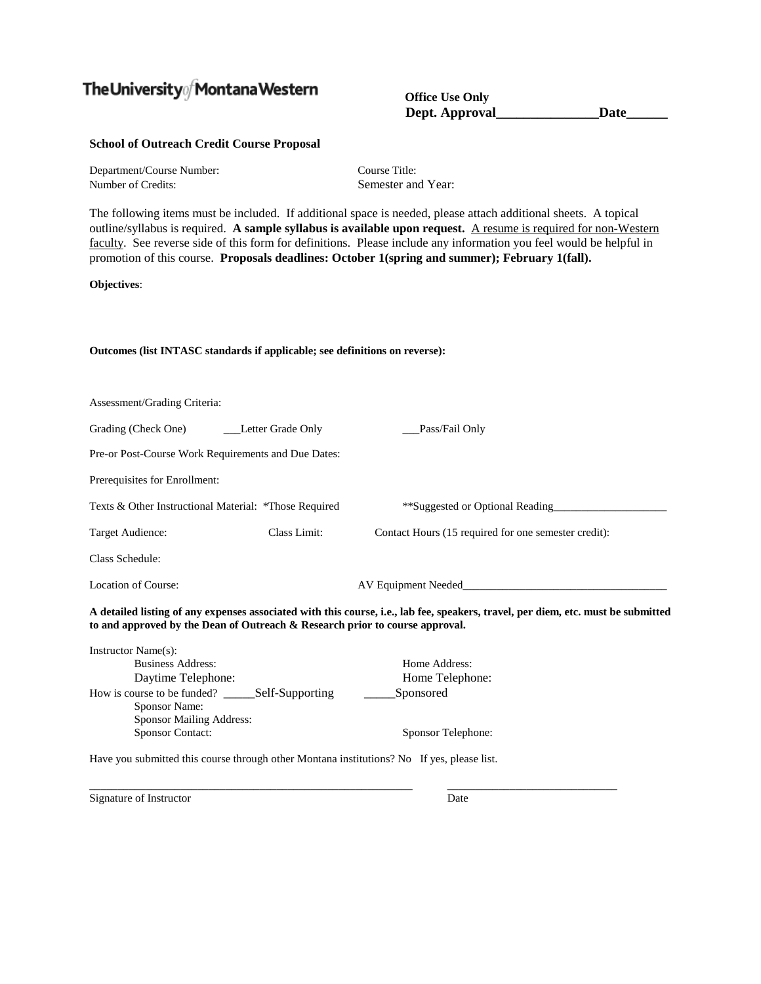## The University  $\int$  Montana Western

**Office Use Only Dept. Approval\_\_\_\_\_\_\_\_\_\_\_\_\_\_\_Date\_\_\_\_\_\_**

## **School of Outreach Credit Course Proposal**

| Department/Course Number: | Course Title:      |
|---------------------------|--------------------|
| Number of Credits:        | Semester and Year: |

The following items must be included. If additional space is needed, please attach additional sheets. A topical outline/syllabus is required. **A sample syllabus is available upon request.** A resume is required for non-Western faculty. See reverse side of this form for definitions. Please include any information you feel would be helpful in promotion of this course. **Proposals deadlines: October 1(spring and summer); February 1(fall).**

**Objectives**:

## **Outcomes (list INTASC standards if applicable; see definitions on reverse):**

| Assessment/Grading Criteria:                                                               |                     |                                                                                                                                   |
|--------------------------------------------------------------------------------------------|---------------------|-----------------------------------------------------------------------------------------------------------------------------------|
| Grading (Check One)                                                                        | __Letter Grade Only | Pass/Fail Only                                                                                                                    |
| Pre-or Post-Course Work Requirements and Due Dates:                                        |                     |                                                                                                                                   |
| Prerequisites for Enrollment:                                                              |                     |                                                                                                                                   |
| Texts & Other Instructional Material: *Those Required                                      |                     | **Suggested or Optional Reading                                                                                                   |
| Target Audience:                                                                           | Class Limit:        | Contact Hours (15 required for one semester credit):                                                                              |
| Class Schedule:                                                                            |                     |                                                                                                                                   |
| Location of Course:                                                                        | AV Equipment Needed |                                                                                                                                   |
| to and approved by the Dean of Outreach & Research prior to course approval.               |                     | A detailed listing of any expenses associated with this course, i.e., lab fee, speakers, travel, per diem, etc. must be submitted |
| Instructor Name(s):                                                                        |                     |                                                                                                                                   |
| <b>Business Address:</b>                                                                   |                     | Home Address:                                                                                                                     |
| Daytime Telephone:                                                                         |                     | Home Telephone:                                                                                                                   |
| Sponsor Name:                                                                              |                     | Sponsored                                                                                                                         |
| Sponsor Mailing Address:                                                                   |                     |                                                                                                                                   |
| <b>Sponsor Contact:</b>                                                                    |                     | Sponsor Telephone:                                                                                                                |
| Have you submitted this course through other Montana institutions? No If yes, please list. |                     |                                                                                                                                   |

\_\_\_\_\_\_\_\_\_\_\_\_\_\_\_\_\_\_\_\_\_\_\_\_\_\_\_\_\_\_\_\_\_\_\_\_\_\_\_\_\_\_\_\_\_\_\_\_\_\_\_\_\_\_\_\_\_ \_\_\_\_\_\_\_\_\_\_\_\_\_\_\_\_\_\_\_\_\_\_\_\_\_\_\_\_\_\_ Signature of Instructor Date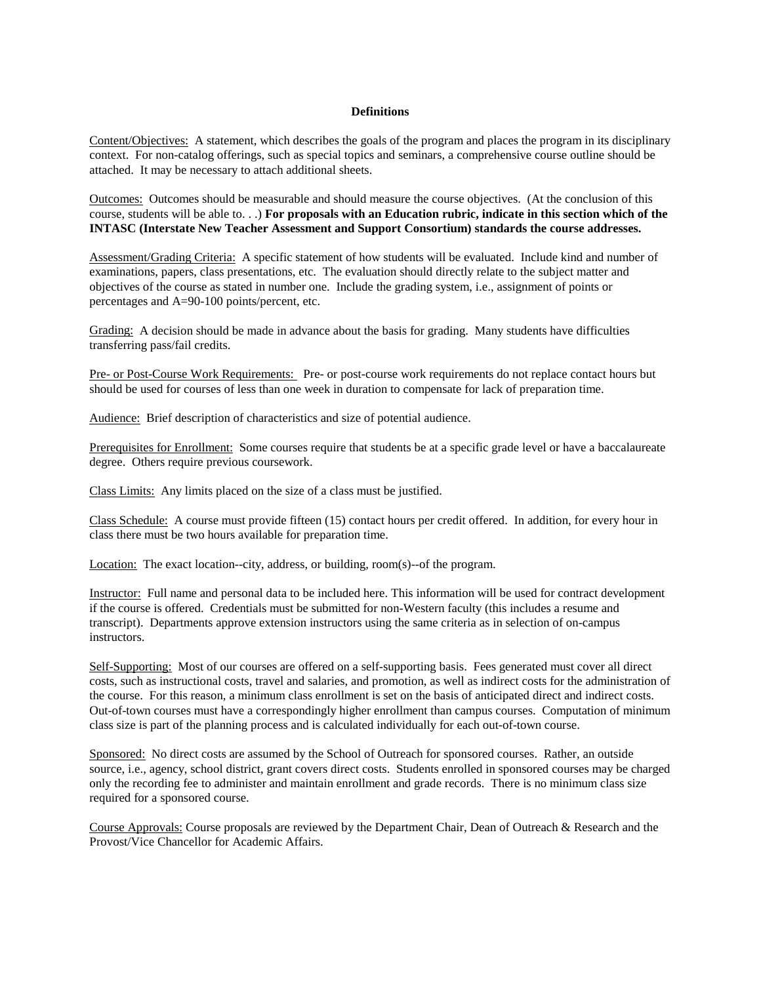## **Definitions**

Content/Objectives: A statement, which describes the goals of the program and places the program in its disciplinary context. For non-catalog offerings, such as special topics and seminars, a comprehensive course outline should be attached. It may be necessary to attach additional sheets.

Outcomes: Outcomes should be measurable and should measure the course objectives. (At the conclusion of this course, students will be able to. . .) **For proposals with an Education rubric, indicate in this section which of the INTASC (Interstate New Teacher Assessment and Support Consortium) standards the course addresses.**

Assessment/Grading Criteria: A specific statement of how students will be evaluated. Include kind and number of examinations, papers, class presentations, etc. The evaluation should directly relate to the subject matter and objectives of the course as stated in number one. Include the grading system, i.e., assignment of points or percentages and A=90-100 points/percent, etc.

Grading: A decision should be made in advance about the basis for grading. Many students have difficulties transferring pass/fail credits.

Pre- or Post-Course Work Requirements: Pre- or post-course work requirements do not replace contact hours but should be used for courses of less than one week in duration to compensate for lack of preparation time.

Audience: Brief description of characteristics and size of potential audience.

Prerequisites for Enrollment: Some courses require that students be at a specific grade level or have a baccalaureate degree. Others require previous coursework.

Class Limits: Any limits placed on the size of a class must be justified.

Class Schedule: A course must provide fifteen (15) contact hours per credit offered. In addition, for every hour in class there must be two hours available for preparation time.

Location: The exact location--city, address, or building, room(s)--of the program.

Instructor: Full name and personal data to be included here. This information will be used for contract development if the course is offered. Credentials must be submitted for non-Western faculty (this includes a resume and transcript). Departments approve extension instructors using the same criteria as in selection of on-campus instructors.

Self-Supporting: Most of our courses are offered on a self-supporting basis. Fees generated must cover all direct costs, such as instructional costs, travel and salaries, and promotion, as well as indirect costs for the administration of the course. For this reason, a minimum class enrollment is set on the basis of anticipated direct and indirect costs. Out-of-town courses must have a correspondingly higher enrollment than campus courses. Computation of minimum class size is part of the planning process and is calculated individually for each out-of-town course.

Sponsored: No direct costs are assumed by the School of Outreach for sponsored courses. Rather, an outside source, i.e., agency, school district, grant covers direct costs. Students enrolled in sponsored courses may be charged only the recording fee to administer and maintain enrollment and grade records. There is no minimum class size required for a sponsored course.

Course Approvals: Course proposals are reviewed by the Department Chair, Dean of Outreach & Research and the Provost/Vice Chancellor for Academic Affairs.